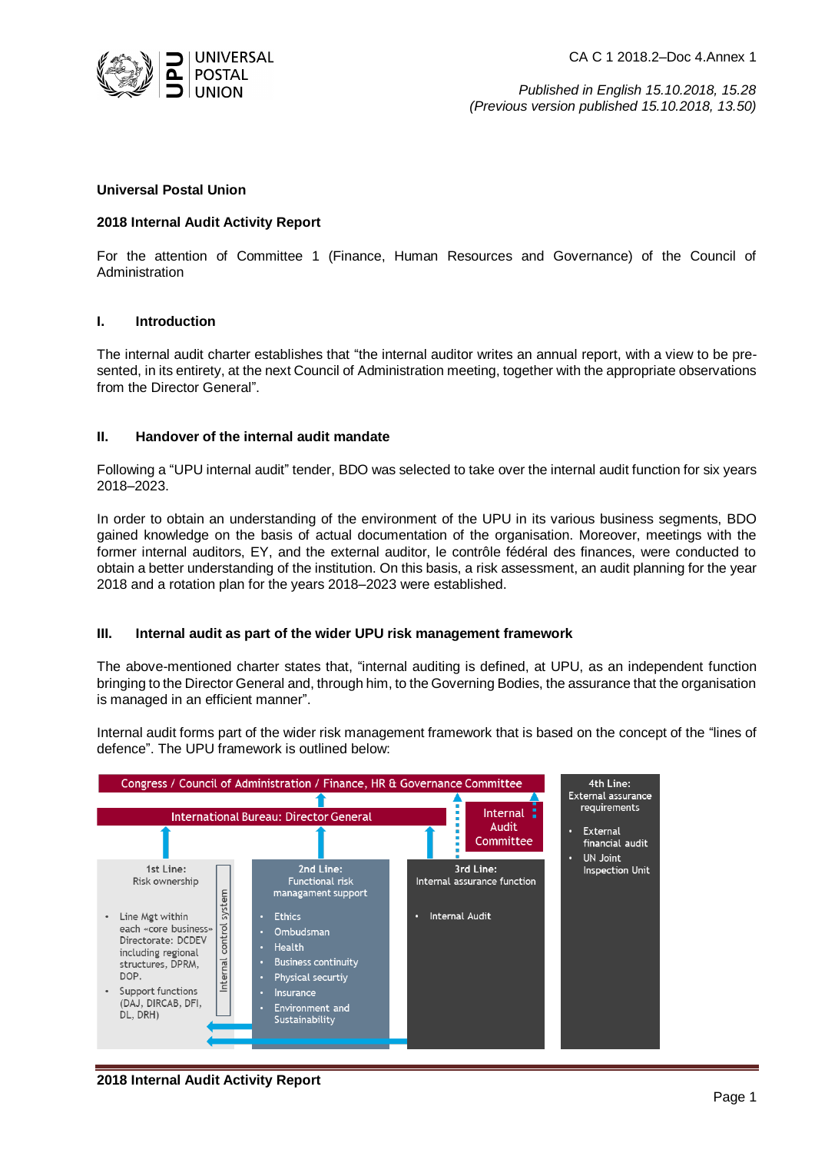

CA C 1 2018.2–Doc 4.Annex 1

*Published in English 15.10.2018, 15.28 (Previous version published 15.10.2018, 13.50)*

#### **Universal Postal Union**

### **2018 Internal Audit Activity Report**

For the attention of Committee 1 (Finance, Human Resources and Governance) of the Council of Administration

## **I. Introduction**

The internal audit charter establishes that "the internal auditor writes an annual report, with a view to be presented, in its entirety, at the next Council of Administration meeting, together with the appropriate observations from the Director General".

## **II. Handover of the internal audit mandate**

Following a "UPU internal audit" tender, BDO was selected to take over the internal audit function for six years 2018–2023.

In order to obtain an understanding of the environment of the UPU in its various business segments, BDO gained knowledge on the basis of actual documentation of the organisation. Moreover, meetings with the former internal auditors, EY, and the external auditor, le contrôle fédéral des finances, were conducted to obtain a better understanding of the institution. On this basis, a risk assessment, an audit planning for the year 2018 and a rotation plan for the years 2018–2023 were established.

#### **III. Internal audit as part of the wider UPU risk management framework**

The above-mentioned charter states that, "internal auditing is defined, at UPU, as an independent function bringing to the Director General and, through him, to the Governing Bodies, the assurance that the organisation is managed in an efficient manner".

Internal audit forms part of the wider risk management framework that is based on the concept of the "lines of defence". The UPU framework is outlined below:

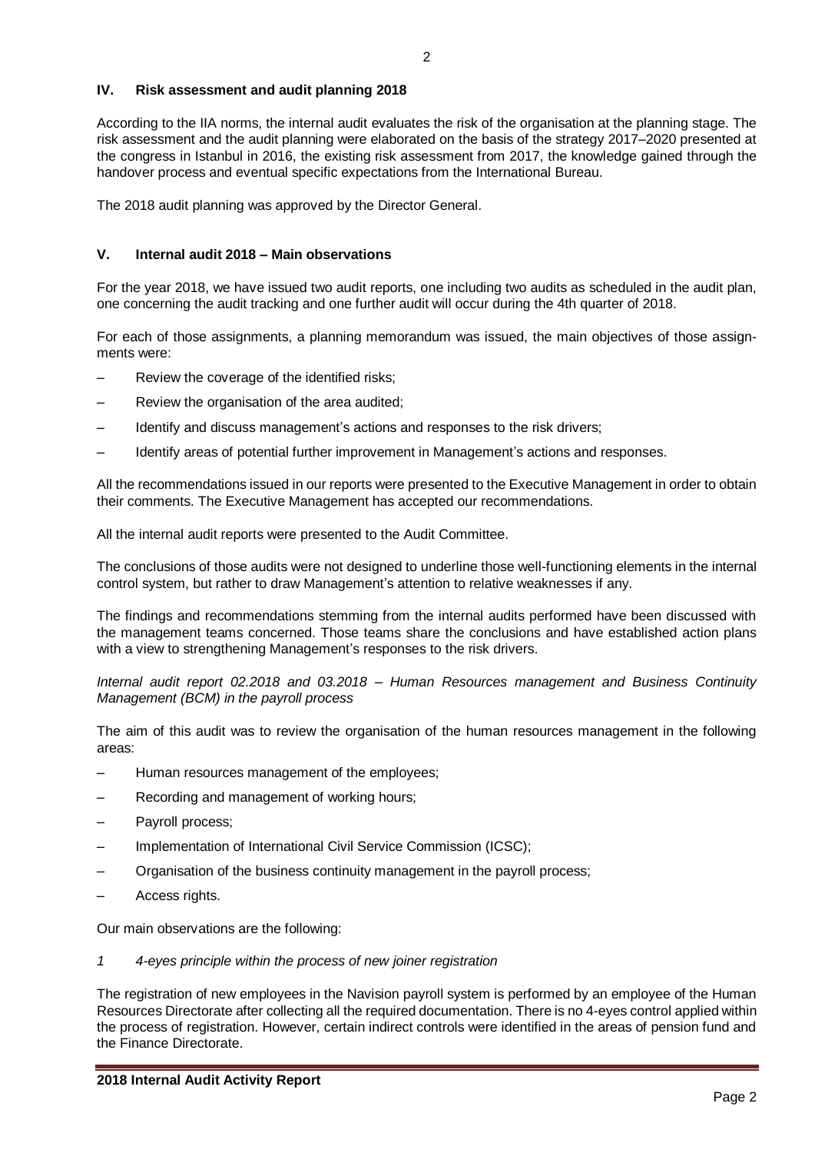# **IV. Risk assessment and audit planning 2018**

According to the IIA norms, the internal audit evaluates the risk of the organisation at the planning stage. The risk assessment and the audit planning were elaborated on the basis of the strategy 2017–2020 presented at the congress in Istanbul in 2016, the existing risk assessment from 2017, the knowledge gained through the handover process and eventual specific expectations from the International Bureau.

The 2018 audit planning was approved by the Director General.

## **V. Internal audit 2018 – Main observations**

For the year 2018, we have issued two audit reports, one including two audits as scheduled in the audit plan, one concerning the audit tracking and one further audit will occur during the 4th quarter of 2018.

For each of those assignments, a planning memorandum was issued, the main objectives of those assignments were:

- Review the coverage of the identified risks;
- Review the organisation of the area audited;
- Identify and discuss management's actions and responses to the risk drivers;
- Identify areas of potential further improvement in Management's actions and responses.

All the recommendations issued in our reports were presented to the Executive Management in order to obtain their comments. The Executive Management has accepted our recommendations.

All the internal audit reports were presented to the Audit Committee.

The conclusions of those audits were not designed to underline those well-functioning elements in the internal control system, but rather to draw Management's attention to relative weaknesses if any.

The findings and recommendations stemming from the internal audits performed have been discussed with the management teams concerned. Those teams share the conclusions and have established action plans with a view to strengthening Management's responses to the risk drivers.

*Internal audit report 02.2018 and 03.2018 – Human Resources management and Business Continuity Management (BCM) in the payroll process*

The aim of this audit was to review the organisation of the human resources management in the following areas:

- Human resources management of the employees;
- Recording and management of working hours;
- Payroll process;
- Implementation of International Civil Service Commission (ICSC);
- Organisation of the business continuity management in the payroll process;
- Access rights.

Our main observations are the following:

*1 4-eyes principle within the process of new joiner registration*

The registration of new employees in the Navision payroll system is performed by an employee of the Human Resources Directorate after collecting all the required documentation. There is no 4-eyes control applied within the process of registration. However, certain indirect controls were identified in the areas of pension fund and the Finance Directorate.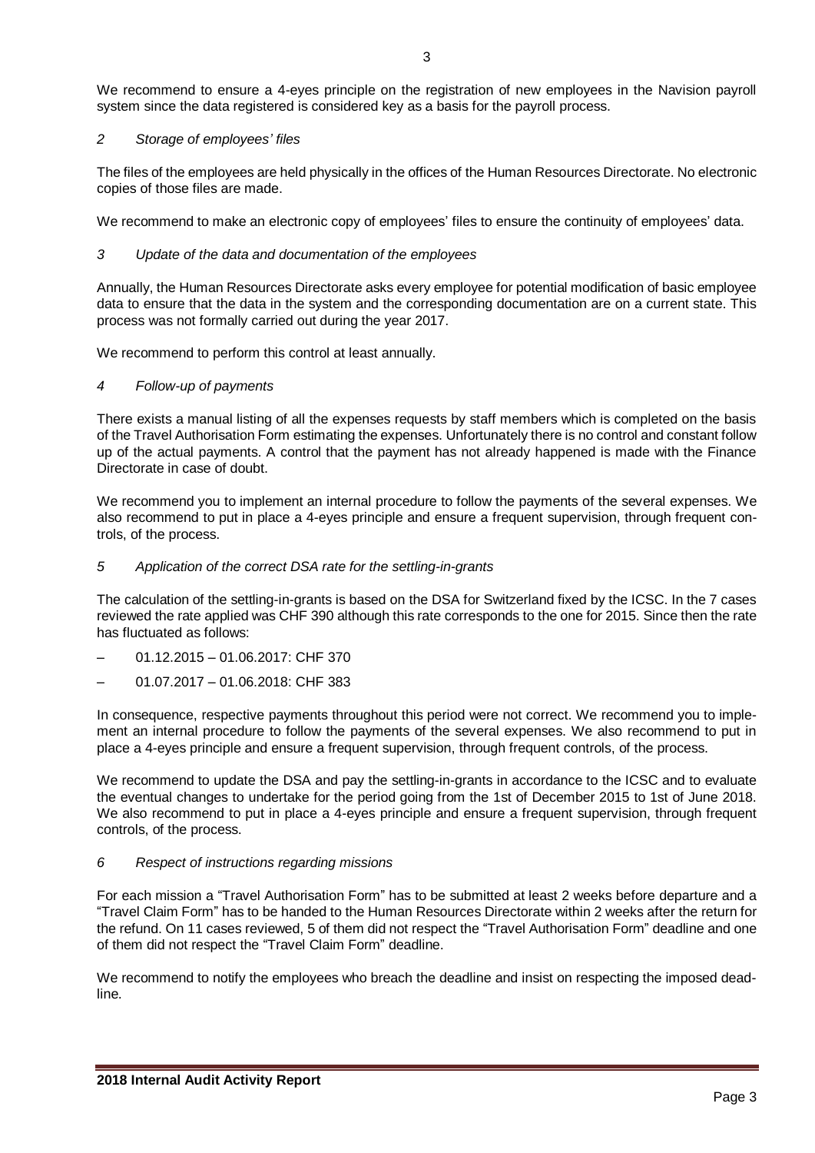We recommend to ensure a 4-eyes principle on the registration of new employees in the Navision payroll system since the data registered is considered key as a basis for the payroll process.

# *2 Storage of employees' files*

The files of the employees are held physically in the offices of the Human Resources Directorate. No electronic copies of those files are made.

We recommend to make an electronic copy of employees' files to ensure the continuity of employees' data.

# *3 Update of the data and documentation of the employees*

Annually, the Human Resources Directorate asks every employee for potential modification of basic employee data to ensure that the data in the system and the corresponding documentation are on a current state. This process was not formally carried out during the year 2017.

We recommend to perform this control at least annually.

# *4 Follow-up of payments*

There exists a manual listing of all the expenses requests by staff members which is completed on the basis of the Travel Authorisation Form estimating the expenses. Unfortunately there is no control and constant follow up of the actual payments. A control that the payment has not already happened is made with the Finance Directorate in case of doubt.

We recommend you to implement an internal procedure to follow the payments of the several expenses. We also recommend to put in place a 4-eyes principle and ensure a frequent supervision, through frequent controls, of the process.

# *5 Application of the correct DSA rate for the settling-in-grants*

The calculation of the settling-in-grants is based on the DSA for Switzerland fixed by the ICSC. In the 7 cases reviewed the rate applied was CHF 390 although this rate corresponds to the one for 2015. Since then the rate has fluctuated as follows:

- 01.12.2015 01.06.2017: CHF 370
- 01.07.2017 01.06.2018: CHF 383

In consequence, respective payments throughout this period were not correct. We recommend you to implement an internal procedure to follow the payments of the several expenses. We also recommend to put in place a 4-eyes principle and ensure a frequent supervision, through frequent controls, of the process.

We recommend to update the DSA and pay the settling-in-grants in accordance to the ICSC and to evaluate the eventual changes to undertake for the period going from the 1st of December 2015 to 1st of June 2018. We also recommend to put in place a 4-eyes principle and ensure a frequent supervision, through frequent controls, of the process.

# *6 Respect of instructions regarding missions*

For each mission a "Travel Authorisation Form" has to be submitted at least 2 weeks before departure and a "Travel Claim Form" has to be handed to the Human Resources Directorate within 2 weeks after the return for the refund. On 11 cases reviewed, 5 of them did not respect the "Travel Authorisation Form" deadline and one of them did not respect the "Travel Claim Form" deadline.

We recommend to notify the employees who breach the deadline and insist on respecting the imposed deadline.